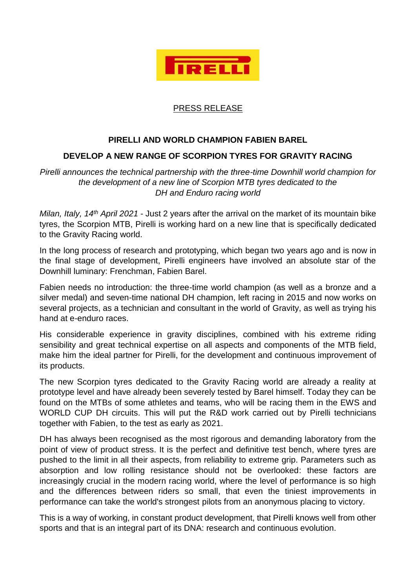

## PRESS RELEASE

## **PIRELLI AND WORLD CHAMPION FABIEN BAREL**

## **DEVELOP A NEW RANGE OF SCORPION TYRES FOR GRAVITY RACING**

*Pirelli announces the technical partnership with the three-time Downhill world champion for the development of a new line of Scorpion MTB tyres dedicated to the DH and Enduro racing world*

*Milan, Italy, 14th April 2021* - Just 2 years after the arrival on the market of its mountain bike tyres, the Scorpion MTB, Pirelli is working hard on a new line that is specifically dedicated to the Gravity Racing world.

In the long process of research and prototyping, which began two years ago and is now in the final stage of development, Pirelli engineers have involved an absolute star of the Downhill luminary: Frenchman, Fabien Barel.

Fabien needs no introduction: the three-time world champion (as well as a bronze and a silver medal) and seven-time national DH champion, left racing in 2015 and now works on several projects, as a technician and consultant in the world of Gravity, as well as trying his hand at e-enduro races.

His considerable experience in gravity disciplines, combined with his extreme riding sensibility and great technical expertise on all aspects and components of the MTB field, make him the ideal partner for Pirelli, for the development and continuous improvement of its products.

The new Scorpion tyres dedicated to the Gravity Racing world are already a reality at prototype level and have already been severely tested by Barel himself. Today they can be found on the MTBs of some athletes and teams, who will be racing them in the EWS and WORLD CUP DH circuits. This will put the R&D work carried out by Pirelli technicians together with Fabien, to the test as early as 2021.

DH has always been recognised as the most rigorous and demanding laboratory from the point of view of product stress. It is the perfect and definitive test bench, where tyres are pushed to the limit in all their aspects, from reliability to extreme grip. Parameters such as absorption and low rolling resistance should not be overlooked: these factors are increasingly crucial in the modern racing world, where the level of performance is so high and the differences between riders so small, that even the tiniest improvements in performance can take the world's strongest pilots from an anonymous placing to victory.

This is a way of working, in constant product development, that Pirelli knows well from other sports and that is an integral part of its DNA: research and continuous evolution.